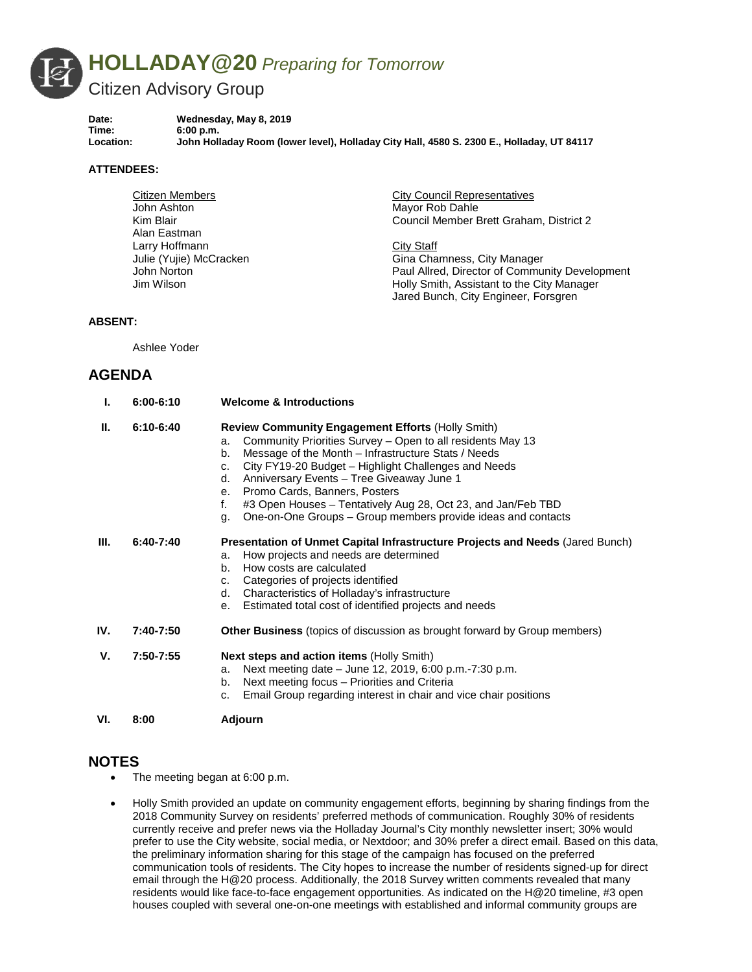

**Date: Wednesday, May 8, 2019** Time: 6:00 p.m.<br>
Location: John Holl

**Location: John Holladay Room (lower level), Holladay City Hall, 4580 S. 2300 E., Holladay, UT 84117**

### **ATTENDEES:**

| Citizen Members         | <b>City Council Representatives</b>            |
|-------------------------|------------------------------------------------|
| John Ashton             | Mayor Rob Dahle                                |
| Kim Blair               | Council Member Brett Graham, District 2        |
| Alan Eastman            |                                                |
| Larry Hoffmann          | City Staff                                     |
| Julie (Yujie) McCracken | Gina Chamness, City Manager                    |
| John Norton             | Paul Allred, Director of Community Development |
| Jim Wilson              | Holly Smith, Assistant to the City Manager     |
|                         | Jared Bunch, City Engineer, Forsgren           |

#### **ABSENT:**

Ashlee Yoder

# **AGENDA**

| L.   | $6:00 - 6:10$ | <b>Welcome &amp; Introductions</b>                                                                                                                                                                                                                                                                                                                                                                                                                                                     |
|------|---------------|----------------------------------------------------------------------------------------------------------------------------------------------------------------------------------------------------------------------------------------------------------------------------------------------------------------------------------------------------------------------------------------------------------------------------------------------------------------------------------------|
| Ш.   | $6:10 - 6:40$ | Review Community Engagement Efforts (Holly Smith)<br>Community Priorities Survey – Open to all residents May 13<br>a.<br>Message of the Month - Infrastructure Stats / Needs<br>b.<br>City FY19-20 Budget – Highlight Challenges and Needs<br>C.<br>Anniversary Events - Tree Giveaway June 1<br>d.<br>Promo Cards, Banners, Posters<br>e.<br>f.<br>#3 Open Houses – Tentatively Aug 28, Oct 23, and Jan/Feb TBD<br>One-on-One Groups – Group members provide ideas and contacts<br>q. |
| III. | $6:40-7:40$   | Presentation of Unmet Capital Infrastructure Projects and Needs (Jared Bunch)<br>How projects and needs are determined<br>a.<br>How costs are calculated<br>b.<br>Categories of projects identified<br>C.<br>Characteristics of Holladay's infrastructure<br>d.<br>Estimated total cost of identified projects and needs<br>е.                                                                                                                                                         |
| IV.  | 7:40-7:50     | Other Business (topics of discussion as brought forward by Group members)                                                                                                                                                                                                                                                                                                                                                                                                              |
| V.   | 7:50-7:55     | <b>Next steps and action items (Holly Smith)</b><br>Next meeting date - June 12, 2019, 6:00 p.m.-7:30 p.m.<br>a.<br>Next meeting focus - Priorities and Criteria<br>b.<br>Email Group regarding interest in chair and vice chair positions<br>C.                                                                                                                                                                                                                                       |
| VI.  | 8:00          | Adjourn                                                                                                                                                                                                                                                                                                                                                                                                                                                                                |

## **NOTES**

- The meeting began at 6:00 p.m.
- Holly Smith provided an update on community engagement efforts, beginning by sharing findings from the 2018 Community Survey on residents' preferred methods of communication. Roughly 30% of residents currently receive and prefer news via the Holladay Journal's City monthly newsletter insert; 30% would prefer to use the City website, social media, or Nextdoor; and 30% prefer a direct email. Based on this data, the preliminary information sharing for this stage of the campaign has focused on the preferred communication tools of residents. The City hopes to increase the number of residents signed-up for direct email through the H@20 process. Additionally, the 2018 Survey written comments revealed that many residents would like face-to-face engagement opportunities. As indicated on the H@20 timeline, #3 open houses coupled with several one-on-one meetings with established and informal community groups are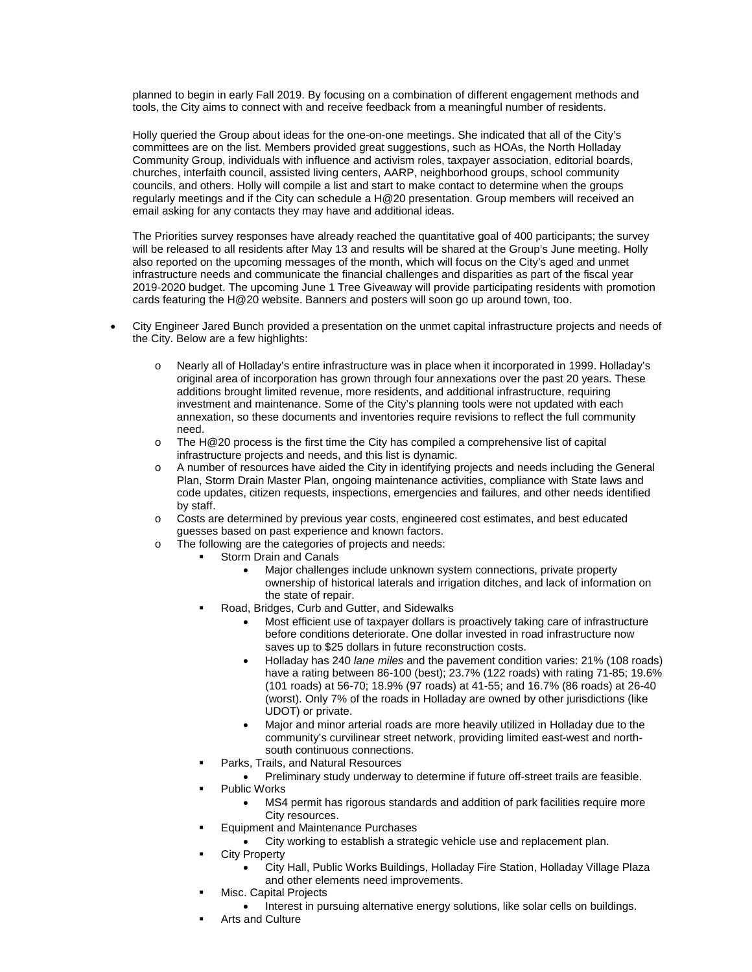planned to begin in early Fall 2019. By focusing on a combination of different engagement methods and tools, the City aims to connect with and receive feedback from a meaningful number of residents.

Holly queried the Group about ideas for the one-on-one meetings. She indicated that all of the City's committees are on the list. Members provided great suggestions, such as HOAs, the North Holladay Community Group, individuals with influence and activism roles, taxpayer association, editorial boards, churches, interfaith council, assisted living centers, AARP, neighborhood groups, school community councils, and others. Holly will compile a list and start to make contact to determine when the groups regularly meetings and if the City can schedule a H@20 presentation. Group members will received an email asking for any contacts they may have and additional ideas.

The Priorities survey responses have already reached the quantitative goal of 400 participants; the survey will be released to all residents after May 13 and results will be shared at the Group's June meeting. Holly also reported on the upcoming messages of the month, which will focus on the City's aged and unmet infrastructure needs and communicate the financial challenges and disparities as part of the fiscal year 2019-2020 budget. The upcoming June 1 Tree Giveaway will provide participating residents with promotion cards featuring the H@20 website. Banners and posters will soon go up around town, too.

- City Engineer Jared Bunch provided a presentation on the unmet capital infrastructure projects and needs of the City. Below are a few highlights:
	- o Nearly all of Holladay's entire infrastructure was in place when it incorporated in 1999. Holladay's original area of incorporation has grown through four annexations over the past 20 years. These additions brought limited revenue, more residents, and additional infrastructure, requiring investment and maintenance. Some of the City's planning tools were not updated with each annexation, so these documents and inventories require revisions to reflect the full community need.
	- o The H@20 process is the first time the City has compiled a comprehensive list of capital infrastructure projects and needs, and this list is dynamic.
	- o A number of resources have aided the City in identifying projects and needs including the General Plan, Storm Drain Master Plan, ongoing maintenance activities, compliance with State laws and code updates, citizen requests, inspections, emergencies and failures, and other needs identified by staff.
	- o Costs are determined by previous year costs, engineered cost estimates, and best educated guesses based on past experience and known factors.
	- o The following are the categories of projects and needs:
		- Storm Drain and Canals
			- Major challenges include unknown system connections, private property ownership of historical laterals and irrigation ditches, and lack of information on the state of repair.
			- Road, Bridges, Curb and Gutter, and Sidewalks
				- Most efficient use of taxpayer dollars is proactively taking care of infrastructure before conditions deteriorate. One dollar invested in road infrastructure now saves up to \$25 dollars in future reconstruction costs.
				- Holladay has 240 *lane miles* and the pavement condition varies: 21% (108 roads) have a rating between 86-100 (best); 23.7% (122 roads) with rating 71-85; 19.6% (101 roads) at 56-70; 18.9% (97 roads) at 41-55; and 16.7% (86 roads) at 26-40 (worst). Only 7% of the roads in Holladay are owned by other jurisdictions (like UDOT) or private.
				- Major and minor arterial roads are more heavily utilized in Holladay due to the community's curvilinear street network, providing limited east-west and northsouth continuous connections.
			- Parks, Trails, and Natural Resources
				- Preliminary study underway to determine if future off-street trails are feasible.
				- Public Works
					- MS4 permit has rigorous standards and addition of park facilities require more City resources.
				- Equipment and Maintenance Purchases
					- City working to establish a strategic vehicle use and replacement plan.
			- City Property
				- City Hall, Public Works Buildings, Holladay Fire Station, Holladay Village Plaza and other elements need improvements.
			- Misc. Capital Projects
				- Interest in pursuing alternative energy solutions, like solar cells on buildings.
				- Arts and Culture